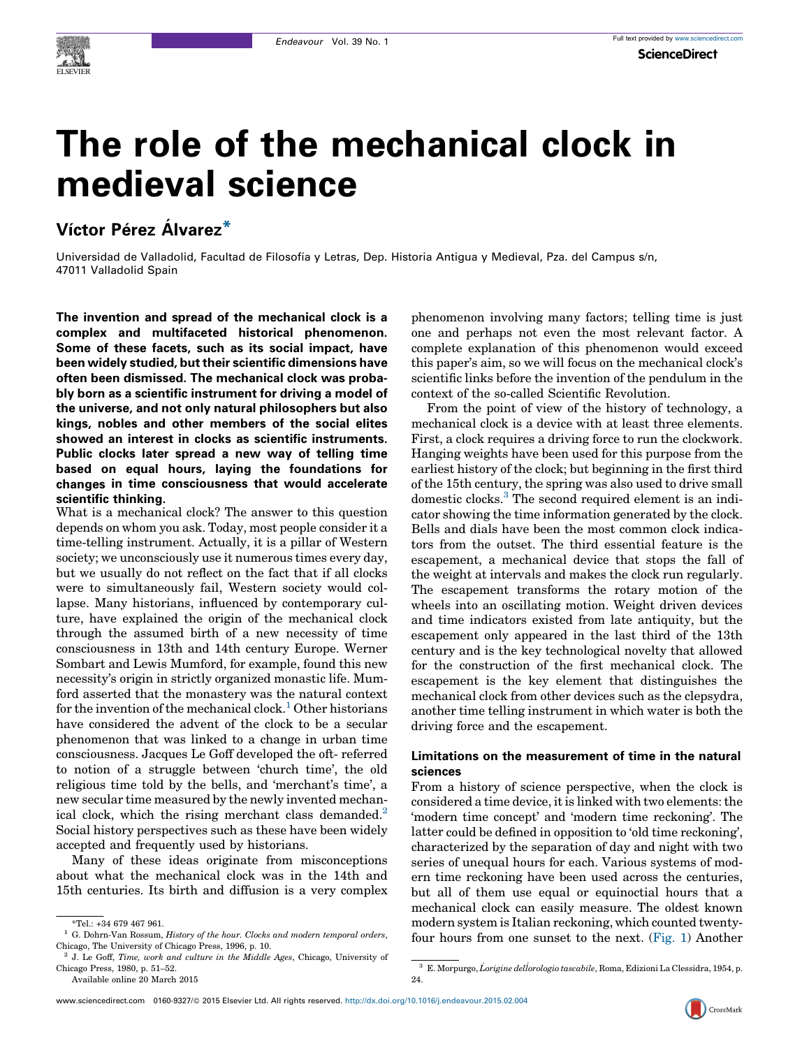## The role of the mechanical clock in medieval science

Víctor Pérez Álvarez<sup>\*</sup>

Universidad de Valladolid, Facultad de Filosofía y Letras, Dep. Historia Antigua y Medieval, Pza. del Campus s/n, 47011 Valladolid Spain

The invention and spread of the mechanical clock is a complex and multifaceted historical phenomenon. Some of these facets, such as its social impact, have been widely studied, but their scientific dimensions have often been dismissed. The mechanical clock was probably born as a scientific instrument for driving a model of the universe, and not only natural philosophers but also kings, nobles and other members of the social elites showed an interest in clocks as scientific instruments. Public clocks later spread a new way of telling time based on equal hours, laying the foundations for changes in time consciousness that would accelerate scientific thinking.

What is a mechanical clock? The answer to this question depends on whom you ask. Today, most people consider it a time-telling instrument. Actually, it is a pillar of Western society; we unconsciously use it numerous times every day, but we usually do not reflect on the fact that if all clocks were to simultaneously fail, Western society would collapse. Many historians, influenced by contemporary culture, have explained the origin of the mechanical clock through the assumed birth of a new necessity of time consciousness in 13th and 14th century Europe. Werner Sombart and Lewis Mumford, for example, found this new necessity's origin in strictly organized monastic life. Mumford asserted that the monastery was the natural context for the invention of the mechanical clock.<sup>1</sup> Other historians have considered the advent of the clock to be a secular phenomenon that was linked to a change in urban time consciousness. Jacques Le Goff developed the oft- referred to notion of a struggle between 'church time', the old religious time told by the bells, and 'merchant's time', a new secular time measured by the newly invented mechanical clock, which the rising merchant class demanded.<sup>2</sup> Social history perspectives such as these have been widely accepted and frequently used by historians.

Many of these ideas originate from misconceptions about what the mechanical clock was in the 14th and 15th centuries. Its birth and diffusion is a very complex phenomenon involving many factors; telling time is just one and perhaps not even the most relevant factor. A complete explanation of this phenomenon would exceed this paper's aim, so we will focus on the mechanical clock's scientific links before the invention of the pendulum in the context of the so-called Scientific Revolution.

From the point of view of the history of technology, a mechanical clock is a device with at least three elements. First, a clock requires a driving force to run the clockwork. Hanging weights have been used for this purpose from the earliest history of the clock; but beginning in the first third of the 15th century, the spring was also used to drive small domestic clocks.<sup>3</sup> The second required element is an indicator showing the time information generated by the clock. Bells and dials have been the most common clock indicators from the outset. The third essential feature is the escapement, a mechanical device that stops the fall of the weight at intervals and makes the clock run regularly. The escapement transforms the rotary motion of the wheels into an oscillating motion. Weight driven devices and time indicators existed from late antiquity, but the escapement only appeared in the last third of the 13th century and is the key technological novelty that allowed for the construction of the first mechanical clock. The escapement is the key element that distinguishes the mechanical clock from other devices such as the clepsydra, another time telling instrument in which water is both the driving force and the escapement.

## Limitations on the measurement of time in the natural sciences

From a history of science perspective, when the clock is considered a time device, it is linked with two elements: the 'modern time concept' and 'modern time reckoning'. The latter could be defined in opposition to 'old time reckoning', characterized by the separation of day and night with two series of unequal hours for each. Various systems of modern time reckoning have been used across the centuries, but all of them use equal or equinoctial hours that a mechanical clock can easily measure. The oldest known modern system is Italian reckoning, which counted twentyfour hours from one sunset to the next. ([Fig.](#page-1-0) 1) Another



<sup>\*</sup>Tel.: +34 679 467 961.

 $^{\rm 1}$  G. Dohrn-Van Rossum, History of the hour. Clocks and modern temporal orders, Chicago, The University of Chicago Press, 1996, p. 10.

<sup>2</sup> J. Le Goff, Time, work and culture in the Middle Ages, Chicago, University of Chicago Press, 1980, p. 51–52.

Available online 20 March 2015

 $^3\,$ E. Morpurgo, *Lorigine dell<sup>í</sup>orologio tascabile*, Roma, Edizioni La Clessidra, 1954, p. 24.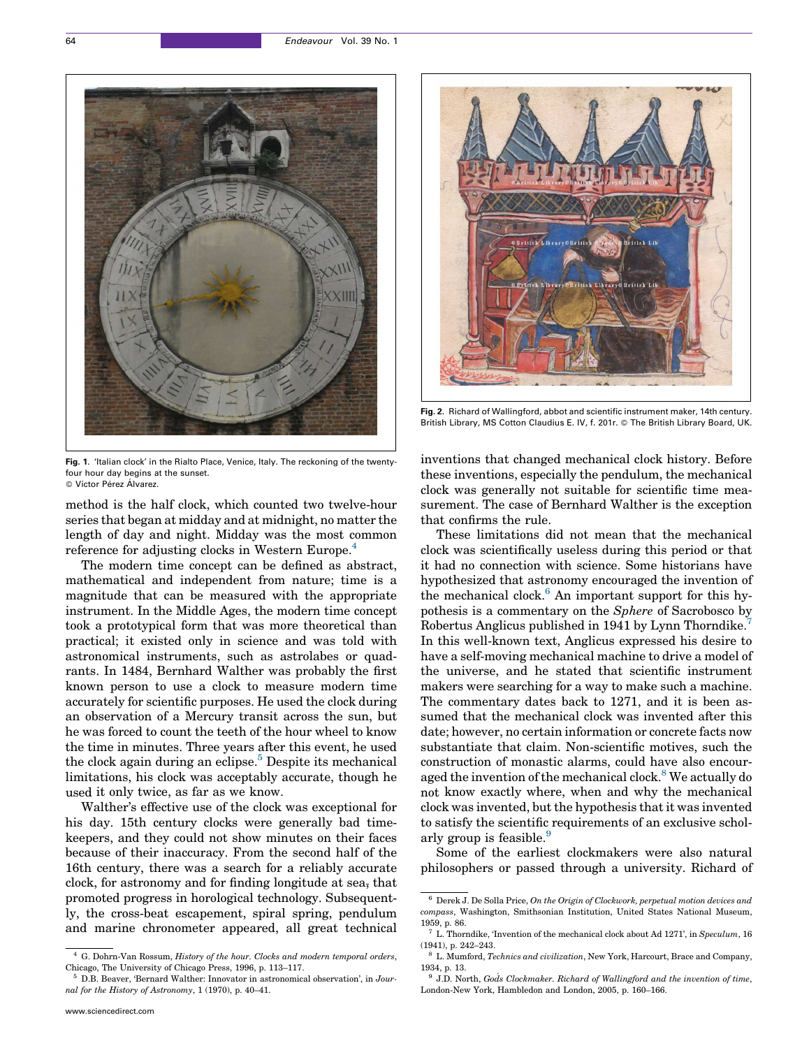<span id="page-1-0"></span>

Fig. 1. 'Italian clock' in the Rialto Place, Venice, Italy. The reckoning of the twentyfour hour day begins at the sunset. © Víctor Pérez Álvarez.

method is the half clock, which counted two twelve-hour series that began at midday and at midnight, no matter the length of day and night. Midday was the most common reference for adjusting clocks in Western Europe.<sup>4</sup>

The modern time concept can be defined as abstract, mathematical and independent from nature; time is a magnitude that can be measured with the appropriate instrument. In the Middle Ages, the modern time concept took a prototypical form that was more theoretical than practical; it existed only in science and was told with astronomical instruments, such as astrolabes or quadrants. In 1484, Bernhard Walther was probably the first known person to use a clock to measure modern time accurately for scientific purposes. He used the clock during an observation of a Mercury transit across the sun, but he was forced to count the teeth of the hour wheel to know the time in minutes. Three years after this event, he used the clock again during an eclipse.<sup>5</sup> Despite its mechanical limitations, his clock was acceptably accurate, though he used it only twice, as far as we know.

Walther's effective use of the clock was exceptional for his day. 15th century clocks were generally bad timekeepers, and they could not show minutes on their faces because of their inaccuracy. From the second half of the 16th century, there was a search for a reliably accurate clock, for astronomy and for finding longitude at sea, that promoted progress in horological technology. Subsequently, the cross-beat escapement, spiral spring, pendulum and marine chronometer appeared, all great technical



Fig. 2. Richard of Wallingford, abbot and scientific instrument maker, 14th century. British Library, MS Cotton Claudius E. IV, f. 201r. @ The British Library Board, UK.

inventions that changed mechanical clock history. Before these inventions, especially the pendulum, the mechanical clock was generally not suitable for scientific time measurement. The case of Bernhard Walther is the exception that confirms the rule.

These limitations did not mean that the mechanical clock was scientifically useless during this period or that it had no connection with science. Some historians have hypothesized that astronomy encouraged the invention of the mechanical clock.<sup>6</sup> An important support for this hypothesis is a commentary on the Sphere of Sacrobosco by Robertus Anglicus published in 1941 by Lynn Thorndike.<sup>7</sup> In this well-known text, Anglicus expressed his desire to have a self-moving mechanical machine to drive a model of the universe, and he stated that scientific instrument makers were searching for a way to make such a machine. The commentary dates back to 1271, and it is been assumed that the mechanical clock was invented after this date; however, no certain information or concrete facts now substantiate that claim. Non-scientific motives, such the construction of monastic alarms, could have also encouraged the invention of the mechanical clock.<sup>8</sup> We actually do not know exactly where, when and why the mechanical clock was invented, but the hypothesis that it was invented to satisfy the scientific requirements of an exclusive scholarly group is feasible.<sup>9</sup>

Some of the earliest clockmakers were also natural philosophers or passed through a university. Richard of

<sup>4</sup> G. Dohrn-Van Rossum, History of the hour. Clocks and modern temporal orders, Chicago, The University of Chicago Press, 1996, p. 113–117.

 $5$  D.B. Beaver, 'Bernard Walther: Innovator in astronomical observation', in Journal for the History of Astronomy, 1 (1970), p. 40–41.

 $\overline{6}$  Derek J. De Solla Price, On the Origin of Clockwork, perpetual motion devices and compass, Washington, Smithsonian Institution, United States National Museum, 1959, p. 86.

 $7\,$  L. Thorndike, 'Invention of the mechanical clock about Ad 1271', in Speculum, 16 (1941), p. 242–243.

<sup>8</sup> L. Mumford, Technics and civilization, New York, Harcourt, Brace and Company, 1934, p. 13.

 $9$  J.D. North, Gods Clockmaker. Richard of Wallingford and the invention of time, London-New York, Hambledon and London, 2005, p. 160–166.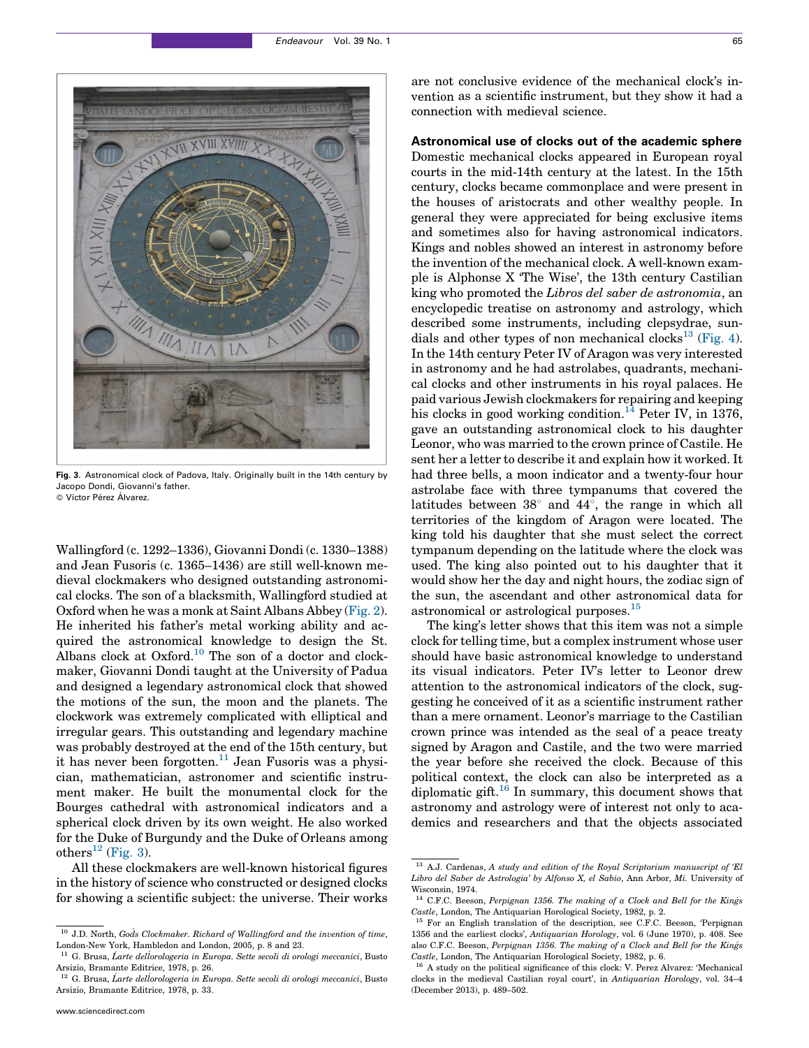

Fig. 3. Astronomical clock of Padova, Italy. Originally built in the 14th century by Jacopo Dondi, Giovanni's father. © Víctor Pérez Álvarez.

Wallingford (c. 1292–1336), Giovanni Dondi (c. 1330–1388) and Jean Fusoris (c. 1365–1436) are still well-known medieval clockmakers who designed outstanding astronomical clocks. The son of a blacksmith, Wallingford studied at Oxford when he was a monk at Saint Albans Abbey [\(Fig.](#page-1-0) 2). He inherited his father's metal working ability and acquired the astronomical knowledge to design the St. Albans clock at Oxford.<sup>10</sup> The son of a doctor and clockmaker, Giovanni Dondi taught at the University of Padua and designed a legendary astronomical clock that showed the motions of the sun, the moon and the planets. The clockwork was extremely complicated with elliptical and irregular gears. This outstanding and legendary machine was probably destroyed at the end of the 15th century, but it has never been forgotten.<sup>11</sup> Jean Fusoris was a physician, mathematician, astronomer and scientific instrument maker. He built the monumental clock for the Bourges cathedral with astronomical indicators and a spherical clock driven by its own weight. He also worked for the Duke of Burgundy and the Duke of Orleans among others $^{12}$  (Fig. 3).

All these clockmakers are well-known historical figures in the history of science who constructed or designed clocks for showing a scientific subject: the universe. Their works

are not conclusive evidence of the mechanical clock's invention as a scientific instrument, but they show it had a connection with medieval science.

Astronomical use of clocks out of the academic sphere Domestic mechanical clocks appeared in European royal courts in the mid-14th century at the latest. In the 15th century, clocks became commonplace and were present in the houses of aristocrats and other wealthy people. In general they were appreciated for being exclusive items and sometimes also for having astronomical indicators. Kings and nobles showed an interest in astronomy before the invention of the mechanical clock. A well-known example is Alphonse X 'The Wise', the 13th century Castilian king who promoted the Libros del saber de astronomia, an encyclopedic treatise on astronomy and astrology, which described some instruments, including clepsydrae, sun-dials and other types of non mechanical clocks<sup>13</sup> ([Fig.](#page-3-0) 4). In the 14th century Peter IV of Aragon was very interested in astronomy and he had astrolabes, quadrants, mechanical clocks and other instruments in his royal palaces. He paid various Jewish clockmakers for repairing and keeping his clocks in good working condition.<sup>14</sup> Peter IV, in 1376, gave an outstanding astronomical clock to his daughter Leonor, who was married to the crown prince of Castile. He sent her a letter to describe it and explain how it worked. It had three bells, a moon indicator and a twenty-four hour astrolabe face with three tympanums that covered the latitudes between  $38^\circ$  and  $44^\circ$ , the range in which all territories of the kingdom of Aragon were located. The king told his daughter that she must select the correct tympanum depending on the latitude where the clock was used. The king also pointed out to his daughter that it would show her the day and night hours, the zodiac sign of the sun, the ascendant and other astronomical data for astronomical or astrological purposes.<sup>15</sup>

The king's letter shows that this item was not a simple clock for telling time, but a complex instrument whose user should have basic astronomical knowledge to understand its visual indicators. Peter IV's letter to Leonor drew attention to the astronomical indicators of the clock, suggesting he conceived of it as a scientific instrument rather than a mere ornament. Leonor's marriage to the Castilian crown prince was intended as the seal of a peace treaty signed by Aragon and Castile, and the two were married the year before she received the clock. Because of this political context, the clock can also be interpreted as a diplomatic gift. $16$  In summary, this document shows that astronomy and astrology were of interest not only to academics and researchers and that the objects associated

 $10$  J.D. North, Goás Clockmaker. Richard of Wallingford and the invention of time, London-New York, Hambledon and London, 2005, p. 8 and 23.

 $11$  G. Brusa, Larte dellorologeria in Europa. Sette secoli di orologi meccanici, Busto Arsizio, Bramante Editrice, 1978, p. 26.

 $12$  G. Brusa, Larte dellorologeria in Europa. Sette secoli di orologi meccanici, Busto Arsizio, Bramante Editrice, 1978, p. 33.

 $13$  A.J. Cardenas, A study and edition of the Royal Scriptorium manuscript of 'El Libro del Saber de Astrologia' by Alfonso X, el Sabio, Ann Arbor, Mi. University of Wisconsin, 1974.<br><sup>14</sup> C.F.C. Beeson, *Perpignan 1356. The making of a Clock and Bell for the Kings* 

Castle, London, The Antiquarian Horological Society, 1982, p. 2.

<sup>&</sup>lt;sup>15</sup> For an English translation of the description, see C.F.C. Beeson, 'Perpignan 1356 and the earliest clocks', Antiquarian Horology, vol. 6 (June 1970), p. 408. See also C.F.C. Beeson, Perpignan 1356. The making of a Clock and Bell for the King's Castle, London, The Antiquarian Horological Society, 1982, p. 6.

<sup>16</sup> A study on the political significance of this clock: V. Perez Alvarez: 'Mechanical clocks in the medieval Castilian royal court', in Antiquarian Horology, vol. 34–4 (December 2013), p. 489–502.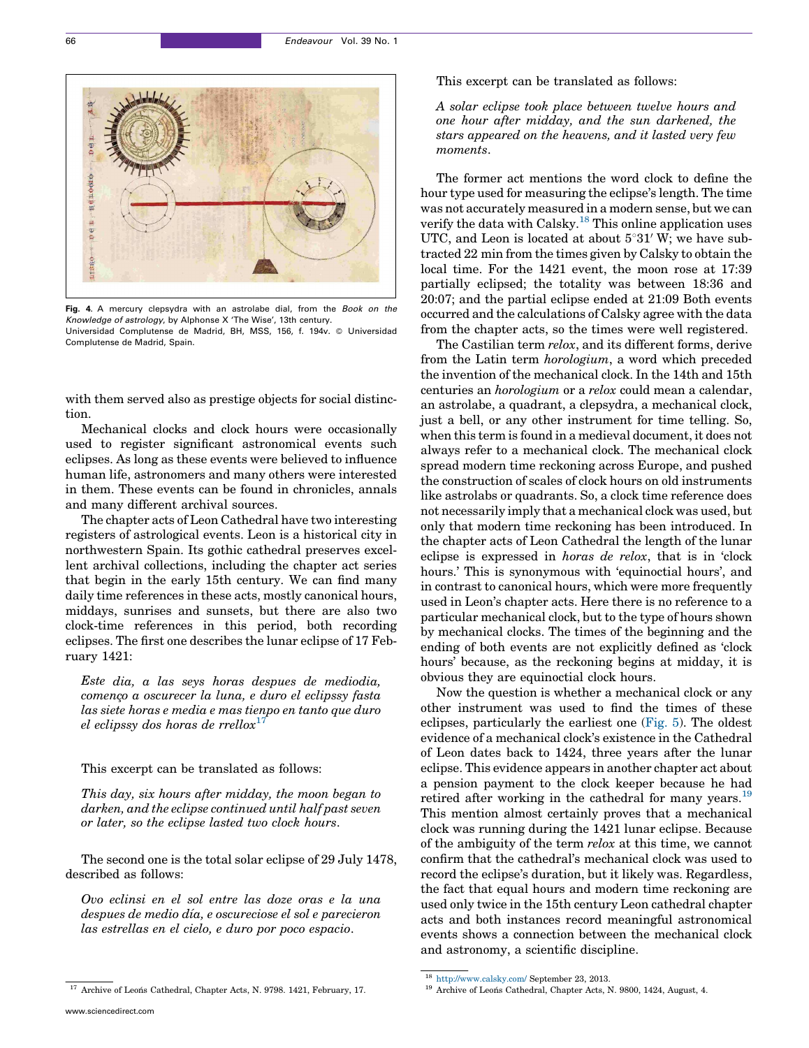

Fig. 4. A mercury clepsydra with an astrolabe dial, from the Book on the Knowledge of astrology, by Alphonse X 'The Wise', 13th century. Universidad Complutense de Madrid, BH, MSS, 156, f. 194v. © Universidad Complutense de Madrid, Spain.

with them served also as prestige objects for social distinction.

Mechanical clocks and clock hours were occasionally used to register significant astronomical events such eclipses. As long as these events were believed to influence human life, astronomers and many others were interested in them. These events can be found in chronicles, annals and many different archival sources.

The chapter acts of Leon Cathedral have two interesting registers of astrological events. Leon is a historical city in northwestern Spain. Its gothic cathedral preserves excellent archival collections, including the chapter act series that begin in the early 15th century. We can find many daily time references in these acts, mostly canonical hours, middays, sunrises and sunsets, but there are also two clock-time references in this period, both recording eclipses. The first one describes the lunar eclipse of 17 February 1421:

Este dia, a las seys horas despues de mediodia, començo a oscurecer la luna, e duro el eclipssy fasta las siete horas e media e mas tienpo en tanto que duro el eclipssy dos horas de rrellox $17$ 

This excerpt can be translated as follows:

This day, six hours after midday, the moon began to darken, and the eclipse continued until half past seven or later, so the eclipse lasted two clock hours.

The second one is the total solar eclipse of 29 July 1478, described as follows:

Ovo eclinsi en el sol entre las doze oras e la una despues de medio día, e oscureciose el sol e parecieron las estrellas en el cielo, e duro por poco espacio.

 $^{17}$  Archive of Leon´s Cathedral, Chapter Acts, N. 9798. 1421, February, 17.

This excerpt can be translated as follows:

A solar eclipse took place between twelve hours and one hour after midday, and the sun darkened, the stars appeared on the heavens, and it lasted very few moments.

The former act mentions the word clock to define the hour type used for measuring the eclipse's length. The time was not accurately measured in a modern sense, but we can verify the data with Calsky.<sup>18</sup> This online application uses UTC, and Leon is located at about  $5°31'$  W; we have subtracted 22 min from the times given by Calsky to obtain the local time. For the 1421 event, the moon rose at 17:39 partially eclipsed; the totality was between 18:36 and 20:07; and the partial eclipse ended at 21:09 Both events occurred and the calculations of Calsky agree with the data from the chapter acts, so the times were well registered.

The Castilian term *relox*, and its different forms, derive from the Latin term horologium, a word which preceded the invention of the mechanical clock. In the 14th and 15th centuries an horologium or a relox could mean a calendar, an astrolabe, a quadrant, a clepsydra, a mechanical clock, just a bell, or any other instrument for time telling. So, when this term is found in a medieval document, it does not always refer to a mechanical clock. The mechanical clock spread modern time reckoning across Europe, and pushed the construction of scales of clock hours on old instruments like astrolabs or quadrants. So, a clock time reference does not necessarily imply that a mechanical clock was used, but only that modern time reckoning has been introduced. In the chapter acts of Leon Cathedral the length of the lunar eclipse is expressed in horas de relox, that is in 'clock hours.' This is synonymous with 'equinoctial hours', and in contrast to canonical hours, which were more frequently used in Leon's chapter acts. Here there is no reference to a particular mechanical clock, but to the type of hours shown by mechanical clocks. The times of the beginning and the ending of both events are not explicitly defined as 'clock hours' because, as the reckoning begins at midday, it is obvious they are equinoctial clock hours.

Now the question is whether a mechanical clock or any other instrument was used to find the times of these eclipses, particularly the earliest one ([Fig.](#page-4-0) 5). The oldest evidence of a mechanical clock's existence in the Cathedral of Leon dates back to 1424, three years after the lunar eclipse. This evidence appears in another chapter act about a pension payment to the clock keeper because he had retired after working in the cathedral for many years.<sup>19</sup> This mention almost certainly proves that a mechanical clock was running during the 1421 lunar eclipse. Because of the ambiguity of the term relox at this time, we cannot confirm that the cathedral's mechanical clock was used to record the eclipse's duration, but it likely was. Regardless, the fact that equal hours and modern time reckoning are used only twice in the 15th century Leon cathedral chapter acts and both instances record meaningful astronomical events shows a connection between the mechanical clock and astronomy, a scientific discipline.

<span id="page-3-0"></span>

www.sciencedirect.com

<sup>18</sup> <http://www.calsky.com/> September 23, 2013.

 $^{19}$  Archive of Leon´s Cathedral, Chapter Acts, N. 9800, 1424, August, 4.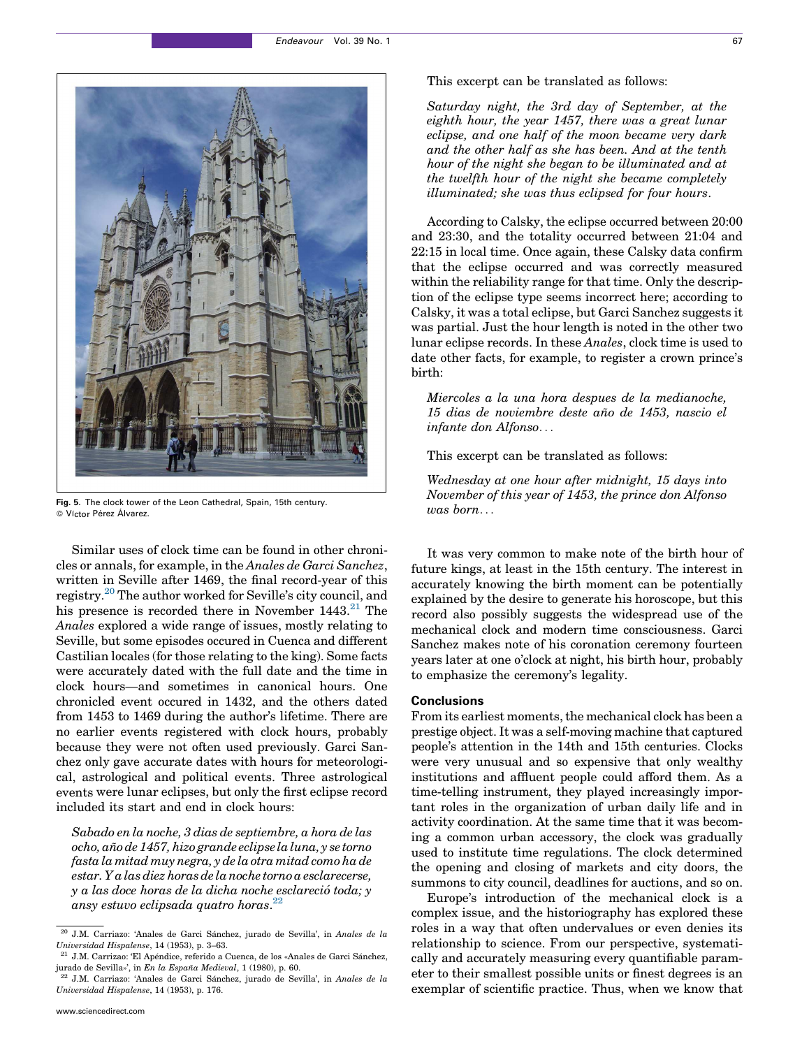<span id="page-4-0"></span>

Fig. 5. The clock tower of the Leon Cathedral, Spain, 15th century. © Víctor Pérez Álvarez.

Similar uses of clock time can be found in other chronicles or annals, for example, in the Anales de Garci Sanchez, written in Seville after 1469, the final record-year of this registry.<sup>20</sup> The author worked for Seville's city council, and his presence is recorded there in November  $1443<sup>21</sup>$  The Anales explored a wide range of issues, mostly relating to Seville, but some episodes occured in Cuenca and different Castilian locales (for those relating to the king). Some facts were accurately dated with the full date and the time in clock hours—and sometimes in canonical hours. One chronicled event occured in 1432, and the others dated from 1453 to 1469 during the author's lifetime. There are no earlier events registered with clock hours, probably because they were not often used previously. Garci Sanchez only gave accurate dates with hours for meteorological, astrological and political events. Three astrological events were lunar eclipses, but only the first eclipse record included its start and end in clock hours:

Sabado en la noche, 3 dias de septiembre, a hora de las ocho, an˜ ode 1457, hizo grande eclipse laluna, y se torno fasta la mitad muy negra, y de la otra mitad como ha de estar.Ya las diez horas de la noche torno a esclarecerse,  $y a las doce horas de la dicha noche esclareció toda; y$  $a$ nsy estuvo eclipsada quatro horas. $^{\rm 22}$ 

## This excerpt can be translated as follows:

Saturday night, the 3rd day of September, at the eighth hour, the year 1457, there was a great lunar eclipse, and one half of the moon became very dark and the other half as she has been. And at the tenth hour of the night she began to be illuminated and at the twelfth hour of the night she became completely illuminated; she was thus eclipsed for four hours.

According to Calsky, the eclipse occurred between 20:00 and 23:30, and the totality occurred between 21:04 and 22:15 in local time. Once again, these Calsky data confirm that the eclipse occurred and was correctly measured within the reliability range for that time. Only the description of the eclipse type seems incorrect here; according to Calsky, it was a total eclipse, but Garci Sanchez suggests it was partial. Just the hour length is noted in the other two lunar eclipse records. In these Anales, clock time is used to date other facts, for example, to register a crown prince's birth:

Miercoles a la una hora despues de la medianoche, 15 dias de noviembre deste año de 1453, nascio el infante don Alfonso. . .

This excerpt can be translated as follows:

Wednesday at one hour after midnight, 15 days into November of this year of 1453, the prince don Alfonso was born. . .

It was very common to make note of the birth hour of future kings, at least in the 15th century. The interest in accurately knowing the birth moment can be potentially explained by the desire to generate his horoscope, but this record also possibly suggests the widespread use of the mechanical clock and modern time consciousness. Garci Sanchez makes note of his coronation ceremony fourteen years later at one o'clock at night, his birth hour, probably to emphasize the ceremony's legality.

## Conclusions

From its earliest moments, the mechanical clock has been a prestige object. It was a self-moving machine that captured people's attention in the 14th and 15th centuries. Clocks were very unusual and so expensive that only wealthy institutions and affluent people could afford them. As a time-telling instrument, they played increasingly important roles in the organization of urban daily life and in activity coordination. At the same time that it was becoming a common urban accessory, the clock was gradually used to institute time regulations. The clock determined the opening and closing of markets and city doors, the summons to city council, deadlines for auctions, and so on.

Europe's introduction of the mechanical clock is a complex issue, and the historiography has explored these roles in a way that often undervalues or even denies its relationship to science. From our perspective, systematically and accurately measuring every quantifiable parameter to their smallest possible units or finest degrees is an exemplar of scientific practice. Thus, when we know that

 $^{20}$  J.M. Carriazo: 'Anales de Garci Sánchez, jurado de Sevilla', in Anales de la Universidad Hispalense, 14 (1953), p. 3–63.

J.M. Carrizao: 'El Apéndice, referido a Cuenca, de los «Anales de Garci Sánchez, jurado de Sevilla»', in En la España Medieval, 1 (1980), p. 60.

 $22$  J.M. Carriazo: 'Anales de Garci Sánchez, jurado de Sevilla', in Anales de la Universidad Hispalense, 14 (1953), p. 176.